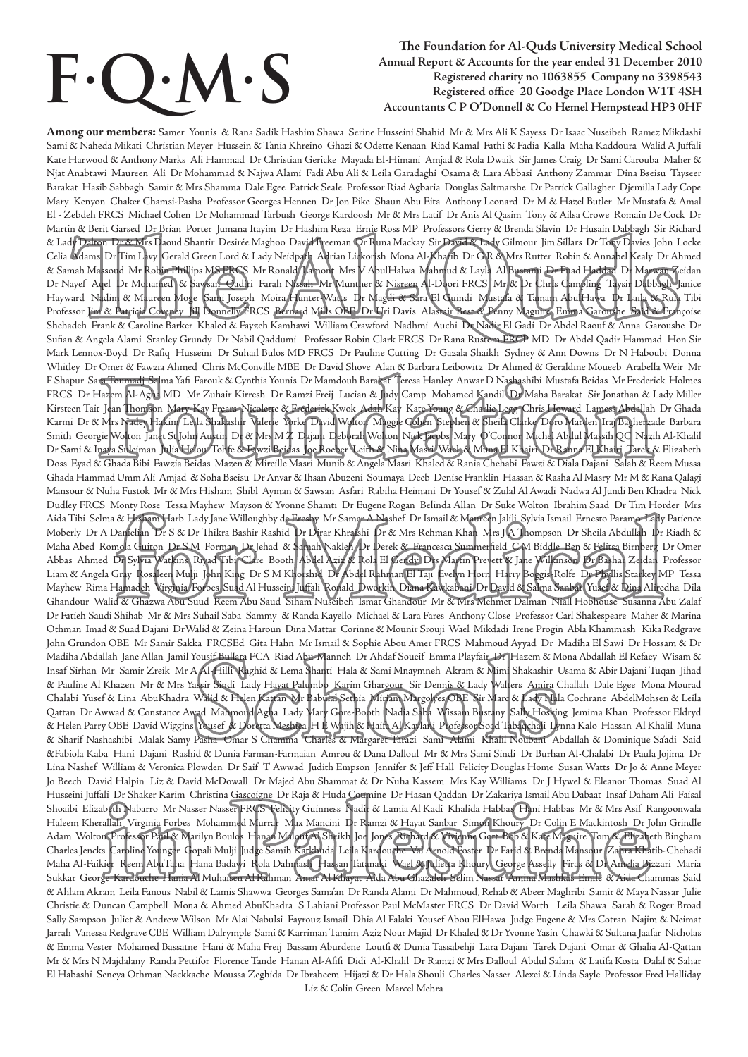# **F. Q. M.**

#### **S The Foundation for Al-Quds University Medical School Annual Report & Accounts for the year ended 31 December 2010 Registered charity no 1063855 Company no 3398543 Registered office 20 Goodge Place London W1T 4SH Accountants C P O'Donnell & Co Hemel Hempstead HP3 0HF**

**Among our members:** Samer Younis & Rana Sadik Hashim Shawa Serine Husseini Shahid Mr & Mrs Ali K Sayess Dr Isaac Nuseibeh Ramez Mikdashi Sami & Naheda Mikati Christian Meyer Hussein & Tania Khreino Ghazi & Odette Kenaan Riad Kamal Fathi & Fadia Kalla Maha Kaddoura Walid A Juffali Kate Harwood & Anthony Marks Ali Hammad Dr Christian Gericke Mayada El-Himani Amjad & Rola Dwaik Sir James Craig Dr Sami Carouba Maher & Njat Anabtawi Maureen Ali Dr Mohammad & Najwa Alami Fadi Abu Ali & Leila Garadaghi Osama & Lara Abbasi Anthony Zammar Dina Bseisu Tayseer Barakat Hasib Sabbagh Samir & Mrs Shamma Dale Egee Patrick Seale Professor Riad Agbaria Douglas Saltmarshe Dr Patrick Gallagher Djemilla Lady Cope Mary Kenyon Chaker Chamsi-Pasha Professor Georges Hennen Dr Jon Pike Shaun Abu Eita Anthony Leonard Dr M & Hazel Butler Mr Mustafa & Amal El - Zebdeh FRCS Michael Cohen Dr Mohammad Tarbush George Kardoosh Mr & Mrs Latif Dr Anis Al Qasim Tony & Ailsa Crowe Romain De Cock Dr Martin & Berit Garsed Dr Brian Porter Jumana Itayim Dr Hashim Reza Ernie Ross MP Professors Gerry & Brenda Slavin Dr Husain Dabbagh Sir Richard & Lady Dalton Dr & Mrs Daoud Shantir Desirée Maghoo David Freeman Dr Runa Mackay Sir David & Lady Gilmour Jim Sillars Dr Tony Davies John Locke Celia Adams Dr Tim Lavy Gerald Green Lord & Lady Neidpath Adrian Lickorish Mona Al-Khatib Dr G R & Mrs Rutter Robin & Annabel Kealy Dr Ahmed & Samah Massoud Mr Robin Phillips MS FRCS Mr Ronald Lamont Mrs V AbulHalwa Mahmud & Layla Al Bustami Dr Fuad Haddad Dr Marwan Zeidan Dr Nayef Aqel Dr Mohamed & Sawsan Qadiri Farah Nissah Mr Munther & Nisreen Al-Doori FRCS Mr & Dr Chris Campling Taysir Dabbagh Janice Hayward Nadim & Maureen Moge Sami Joseph Moira Hunter-Watts Dr Magdi & Sara El Guindi Mustafa & Tamam AbulHawa Dr Laila & Rula Tibi Professor Jim & Patricia Coveney Jill Donnelly FRCS Bernard Mills OBE Dr Uri Davis Alastair Best & Penny Maguire, Emma Garoushe Said & Françoise Shehadeh Frank & Caroline Barker Khaled & Fayzeh Kamhawi William Crawford Nadhmi Auchi Dr Nadir El Gadi Dr Abdel Raouf & Anna Garoushe Dr Sufian & Angela Alami Stanley Grundy Dr Nabil Qaddumi Professor Robin Clark FRCS Dr Rana Rustom FRCP MD Dr Abdel Qadir Hammad Hon Sir Mark Lennox-Boyd Dr Rafiq Husseini Dr Suhail Bulos MD FRCS Dr Pauline Cutting Dr Gazala Shaikh Sydney & Ann Downs Dr N Haboubi Donna Whitley Dr Omer & Fawzia Ahmed Chris McConville MBE Dr David Shove Alan & Barbara Leibowitz Dr Ahmed & Geraldine Moueeb Arabella Weir Mr F Shapur Sara Toumadj Salma Yafi Farouk & Cynthia Younis Dr Mamdouh Barakat Teresa Hanley Anwar D Nashashibi Mustafa Beidas Mr Frederick Holmes FRCS Dr Hazem Al-Agha MD Mr Zuhair Kirresh Dr Ramzi Freij Lucian & Judy Camp Mohamed Kandil Dr Maha Barakat Sir Jonathan & Lady Miller Kirsteen Tait Jean Thomson Mary-Kay Frears Nicolette & Frederick Kwok Adah Kay Kate Young & Charlie Legg Chris Howard Lamess Abdallah Dr Ghada Karmi Dr & Mrs Nadey Hakim Leila Shakashir Valerie Yorke David Wolton Maggie Cohen Stephen & Sheila Clarke Doro Marden Iraj Bagherzade Barbara Smith Georgie Wolton Janet St John Austin Dr & Mrs M Z Dajani Deborah Wolton Nick Jacobs Mary O'Connor Michel Abdul Massih QC Nazih Al-Khalil Dr Sami & Inaya Suleiman Julia Helou Tohfe & Fawzi Beidas Joe Roeber Leith & Nina Masri Wael & Muna El Khairi Dr Ranna El Khairi Tarek & Elizabeth Doss Eyad & Ghada Bibi Fawzia Beidas Mazen & Mireille Masri Munib & Angela Masri Khaled & Rania Chehabi Fawzi & Diala Dajani Salah & Reem Mussa Ghada Hammad Umm Ali Amjad & Soha Bseisu Dr Anvar & Ihsan Abuzeni Soumaya Deeb Denise Franklin Hassan & Rasha Al Masry Mr M & Rana Qalagi Mansour & Nuha Fustok Mr & Mrs Hisham Shibl Ayman & Sawsan Asfari Rabiha Heimani Dr Yousef & Zulal Al Awadi Nadwa Al Jundi Ben Khadra Nick Dudley FRCS Monty Rose Tessa Mayhew Mayson & Yvonne Shamti Dr Eugene Rogan Belinda Allan Dr Suke Wolton Ibrahim Saad Dr Tim Horder Mrs Aida Tibi Selma & Hisham Harb Lady Jane Willoughby de Eresby Mr Samer A Nashef Dr Ismail & Maureen Jalili Sylvia Ismail Ernesto Paramo Lady Patience Moberly Dr A Danielian Dr S & Dr Thikra Bashir Rashid Dr Dirar Khraishi Dr & Mrs Rehman Khan Mrs J A Thompson Dr Sheila Abdullah Dr Riadh & Maha Abed Romola Guiton Dr S M Forman Dr Jehad & Samah Nakleh Dr Derek & Francesca Summerfield C M Biddle Ben & Felitsa Birnberg Dr Omer Abbas Ahmed Dr Sylvia Watkins Riyad Tibi Clare Booth Abdel Aziz & Rola El Gendy Drs Martin Prevett & Jane Wilkinson Dr Bashar Zeidan Professor Liam & Angela Gray Rosaleen Mulji John King Dr S M Khorshid Dr Abdel Rahman El Taji Evelyn Horn Harry Boggis-Rolfe Dr Phyllis Starkey MP Tessa Mayhew Rima Hamadeh Virginia Forbes Suad Al Husseini Juffali Ronald Dworkin Diana Kawkabani Dr David & Salma Sanbar Yusef & Dina Aliredha Dila Ghandour Walid & Ghazwa Abu Suud Reem Abu Saud Siham Nuseibeh Ismat Ghandour Mr & Mrs Mehmet Dalman Niall Hobhouse Susanna Abu Zalaf Dr Fatieh Saudi Shihab Mr & Mrs Suhail Saba Sammy & Randa Kayello Michael & Lara Fares Anthony Close Professor Carl Shakespeare Maher & Marina Othman Imad & Suad Dajani DrWalid & Zeina Haroun Dina Mattar Corinne & Mounir Srouji Wael Mikdadi Irene Progin Abla Khammash Kika Redgrave John Grundon OBE Mr Samir Sakka FRCSEd Gita Hahn Mr Ismail & Sophie Abou Amer FRCS Mahmoud Ayyad Dr Madiha El Sawi Dr Hossam & Dr Madiha Abdallah Jane Allan Jamil Yousif Bullata FCA Riad Abu-Manneh Dr Ahdaf Soueif Emma Playfair Dr Hazem & Mona Abdallah El Refaey Wisam & Insaf Sirhan Mr Samir Zreik Mr A Al-Hilli Raghid & Lema Shanti Hala & Sami Mnaymneh Akram & Mimi Shakashir Usama & Abir Dajani Tuqan Jihad & Pauline Al Khazen Mr & Mrs Yassir Sindi Lady Hayat Palumbo Karim Ghargour Sir Dennis & Lady Walters Amira Challah Dale Egee Mona Mourad Chalabi Yusef & Lina AbuKhadra Walid & Helen Kattan Mr Babulal Sethia Miriam Margolyes OBE Sir Marc & Lady Hala Cochrane AbdelMohsen & Leila Qattan Dr Awwad & Constance Awad Mahmoud Agha Lady Mary Gore-Booth Nadia Saba Wissam Bustany Sally Hosking Jemima Khan Professor Eldryd & Helen Parry OBE David Wiggins Yousef & Doretta Meshiea H E Wajih & Haifa Al Kaylani Professor Soad Tabaqchali Lynna Kalo Hassan Al Khalil Muna & Sharif Nashashibi Malak Samy Pasha Omar S Chamma Charles & Margaret Tarazi Sami Alami Khalil Noubani Abdallah & Dominique Sa'adi Said &Fabiola Kaba Hani Dajani Rashid & Dunia Farman-Farmaian Amrou & Dana Dalloul Mr & Mrs Sami Sindi Dr Burhan Al-Chalabi Dr Paula Jojima Dr Lina Nashef William & Veronica Plowden Dr Saif T Awwad Judith Empson Jennifer & Jeff Hall Felicity Douglas Home Susan Watts Dr Jo & Anne Meyer Jo Beech David Halpin Liz & David McDowall Dr Majed Abu Shammat & Dr Nuha Kassem Mrs Kay Williams Dr J Hywel & Eleanor Thomas Suad Al Husseini Juffali Dr Shaker Karim Christina Gascoigne Dr Raja & Huda Coumine Dr Hasan Qaddan Dr Zakariya Ismail Abu Dabaat Insaf Daham Ali Faisal Shoaibi Elizabeth Nabarro Mr Nasser Nasser FRCS Felicity Guinness Nadir & Lamia Al Kadi Khalida Habbas Hani Habbas Mr & Mrs Asif Rangoonwala Haleem Kherallah Virginia Forbes Mohammed Murrar Max Mancini Dr Ramzi & Hayat Sanbar Simon Khoury Dr Colin E Mackintosh Dr John Grindle Adam Wolton Professor Paul & Marilyn Boulos Hanan Malouf Al Sheikh Joe Jones Richard & Vivienne Gott Bob & Kate Maguire Tom & Elizabeth Bingham Charles Jencks Caroline Younger Gopali Mulji Judge Samih Katkhuda Leila Kardouche Val Arnold Foster Dr Farid & Brenda Mansour Zahra Khatib-Chehadi Maha Al-Faikier Reem AbuTaha Hana Badawi Rola Dahmash Hassan Tatanaki Wael & Julietta Khoury George Asseily Firas & Dr Amelia Bizzari Maria Sukkar Georg<del>e Kardouche Hania A</del>l Muhaisen Al Rahman Amar Al Khayat Aida Abu Ghazaleh Selim Nassar <del>Amina Mashkas Emile</del> & Aida Chammas Said & Ahlam Akram Leila Fanous Nabil & Lamis Shawwa Georges Sama'an Dr Randa Alami Dr Mahmoud, Rehab & Abeer Maghribi Samir & Maya Nassar Julie Christie & Duncan Campbell Mona & Ahmed AbuKhadra S Lahiani Professor Paul McMaster FRCS Dr David Worth Leila Shawa Sarah & Roger Broad Sally Sampson Juliet & Andrew Wilson Mr Alai Nabulsi Fayrouz Ismail Dhia Al Falaki Yousef Abou ElHawa Judge Eugene & Mrs Cotran Najim & Neimat Jarrah Vanessa Redgrave CBE William Dalrymple Sami & Karriman Tamim Aziz Nour Majid Dr Khaled & Dr Yvonne Yasin Chawki & Sultana Jaafar Nicholas & Emma Vester Mohamed Bassatne Hani & Maha Freij Bassam Aburdene Loutfi & Dunia Tassabehji Lara Dajani Tarek Dajani Omar & Ghalia Al-Qattan Mr & Mrs N Majdalany Randa Pettifor Florence Tande Hanan Al-Afifi Didi Al-Khalil Dr Ramzi & Mrs Dalloul Abdul Salam & Latifa Kosta Dalal & Sahar El Habashi Seneya Othman Nackkache Moussa Zeghida Dr Ibraheem Hijazi & Dr Hala Shouli Charles Nasser Alexei & Linda Sayle Professor Fred Halliday Liz & Colin Green Marcel Mehra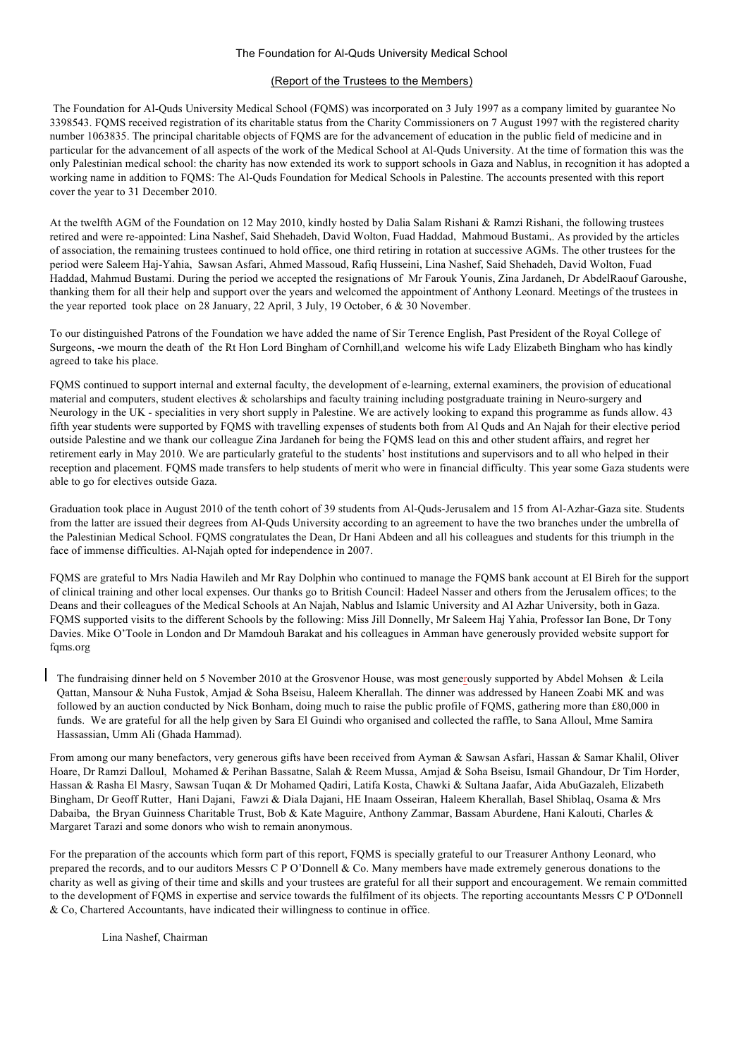#### The Foundation for Al-Quds University Medical School

#### (Report of the Trustees to the Members)

The Foundation for Al-Quds University Medical School (FQMS) was incorporated on 3 July 1997 as a company limited by guarantee No 3398543. FQMS received registration of its charitable status from the Charity Commissioners on 7 August 1997 with the registered charity number 1063835. The principal charitable objects of FQMS are for the advancement of education in the public field of medicine and in particular for the advancement of all aspects of the work of the Medical School at Al-Quds University. At the time of formation this was the only Palestinian medical school: the charity has now extended its work to support schools in Gaza and Nablus, in recognition it has adopted a working name in addition to FQMS: The Al-Quds Foundation for Medical Schools in Palestine. The accounts presented with this report cover the year to 31 December 2010.

At the twelfth AGM of the Foundation on 12 May 2010, kindly hosted by Dalia Salam Rishani & Ramzi Rishani, the following trustees retired and were re-appointed: Lina Nashef, Said Shehadeh, David Wolton, Fuad Haddad, Mahmoud Bustami,. As provided by the articles of association, the remaining trustees continued to hold office, one third retiring in rotation at successive AGMs. The other trustees for the period were Saleem Haj-Yahia, Sawsan Asfari, Ahmed Massoud, Rafiq Husseini, Lina Nashef, Said Shehadeh, David Wolton, Fuad Haddad, Mahmud Bustami. During the period we accepted the resignations of Mr Farouk Younis, Zina Jardaneh, Dr AbdelRaouf Garoushe, thanking them for all their help and support over the years and welcomed the appointment of Anthony Leonard. Meetings of the trustees in the year reported took place on 28 January, 22 April, 3 July, 19 October, 6 & 30 November.

To our distinguished Patrons of the Foundation we have added the name of Sir Terence English, Past President of the Royal College of Surgeons, -we mourn the death of the Rt Hon Lord Bingham of Cornhill,and welcome his wife Lady Elizabeth Bingham who has kindly agreed to take his place.

FQMS continued to support internal and external faculty, the development of e-learning, external examiners, the provision of educational material and computers, student electives & scholarships and faculty training including postgraduate training in Neuro-surgery and Neurology in the UK - specialities in very short supply in Palestine. We are actively looking to expand this programme as funds allow. 43 fifth year students were supported by FQMS with travelling expenses of students both from Al Quds and An Najah for their elective period outside Palestine and we thank our colleague Zina Jardaneh for being the FQMS lead on this and other student affairs, and regret her retirement early in May 2010. We are particularly grateful to the students' host institutions and supervisors and to all who helped in their reception and placement. FQMS made transfers to help students of merit who were in financial difficulty. This year some Gaza students were able to go for electives outside Gaza.

Graduation took place in August 2010 of the tenth cohort of 39 students from Al-Quds-Jerusalem and 15 from Al-Azhar-Gaza site. Students from the latter are issued their degrees from Al-Quds University according to an agreement to have the two branches under the umbrella of the Palestinian Medical School. FQMS congratulates the Dean, Dr Hani Abdeen and all his colleagues and students for this triumph in the face of immense difficulties. Al-Najah opted for independence in 2007.

FQMS are grateful to Mrs Nadia Hawileh and Mr Ray Dolphin who continued to manage the FQMS bank account at El Bireh for the support of clinical training and other local expenses. Our thanks go to British Council: Hadeel Nasser and others from the Jerusalem offices; to the Deans and their colleagues of the Medical Schools at An Najah, Nablus and Islamic University and Al Azhar University, both in Gaza. FQMS supported visits to the different Schools by the following: Miss Jill Donnelly, Mr Saleem Haj Yahia, Professor Ian Bone, Dr Tony Davies. Mike O'Toole in London and Dr Mamdouh Barakat and his colleagues in Amman have generously provided website support for fqms.org

The fundraising dinner held on 5 November 2010 at the Grosvenor House, was most generously supported by Abdel Mohsen & Leila Qattan, Mansour & Nuha Fustok, Amjad & Soha Bseisu, Haleem Kherallah. The dinner was addressed by Haneen Zoabi MK and was followed by an auction conducted by Nick Bonham, doing much to raise the public profile of FQMS, gathering more than £80,000 in funds. We are grateful for all the help given by Sara El Guindi who organised and collected the raffle, to Sana Alloul, Mme Samira Hassassian, Umm Ali (Ghada Hammad).

From among our many benefactors, very generous gifts have been received from Ayman & Sawsan Asfari, Hassan & Samar Khalil, Oliver Hoare, Dr Ramzi Dalloul, Mohamed & Perihan Bassatne, Salah & Reem Mussa, Amjad & Soha Bseisu, Ismail Ghandour, Dr Tim Horder, Hassan & Rasha El Masry, Sawsan Tuqan & Dr Mohamed Qadiri, Latifa Kosta, Chawki & Sultana Jaafar, Aida AbuGazaleh, Elizabeth Bingham, Dr Geoff Rutter, Hani Dajani, Fawzi & Diala Dajani, HE Inaam Osseiran, Haleem Kherallah, Basel Shiblaq, Osama & Mrs Dabaiba, the Bryan Guinness Charitable Trust, Bob & Kate Maguire, Anthony Zammar, Bassam Aburdene, Hani Kalouti, Charles & Margaret Tarazi and some donors who wish to remain anonymous.

For the preparation of the accounts which form part of this report, FQMS is specially grateful to our Treasurer Anthony Leonard, who prepared the records, and to our auditors Messrs C P O'Donnell & Co. Many members have made extremely generous donations to the charity as well as giving of their time and skills and your trustees are grateful for all their support and encouragement. We remain committed to the development of FQMS in expertise and service towards the fulfilment of its objects. The reporting accountants Messrs C P O'Donnell & Co, Chartered Accountants, have indicated their willingness to continue in office.

Lina Nashef, Chairman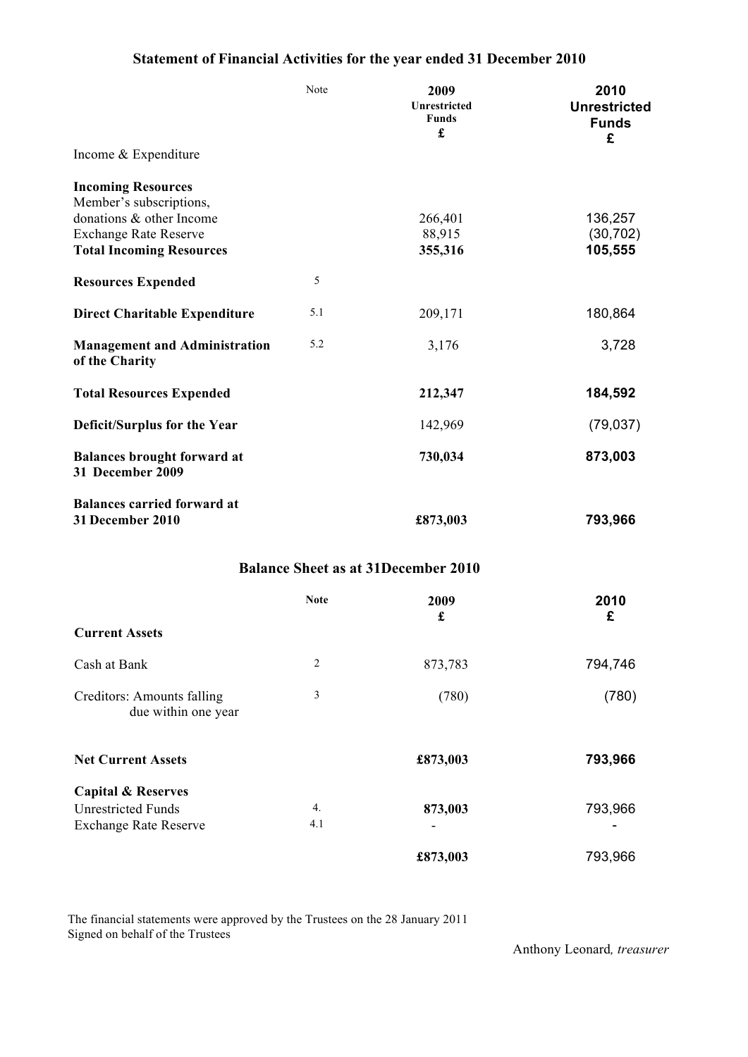# **Statement of Financial Activities for the year ended 31 December 2010**

|                                                        | Note | 2009<br>Unrestricted<br><b>Funds</b><br>£ | 2010<br><b>Unrestricted</b><br><b>Funds</b><br>£ |  |
|--------------------------------------------------------|------|-------------------------------------------|--------------------------------------------------|--|
| Income & Expenditure                                   |      |                                           |                                                  |  |
| <b>Incoming Resources</b><br>Member's subscriptions,   |      |                                           |                                                  |  |
| donations & other Income                               |      | 266,401                                   | 136,257                                          |  |
| <b>Exchange Rate Reserve</b>                           |      | 88,915                                    | (30, 702)                                        |  |
| <b>Total Incoming Resources</b>                        |      | 355,316                                   | 105,555                                          |  |
| <b>Resources Expended</b>                              | 5    |                                           |                                                  |  |
| <b>Direct Charitable Expenditure</b>                   | 5.1  | 209,171                                   | 180,864                                          |  |
| <b>Management and Administration</b><br>of the Charity | 5.2  | 3,176                                     | 3,728                                            |  |
| <b>Total Resources Expended</b>                        |      | 212,347                                   | 184,592                                          |  |
| Deficit/Surplus for the Year                           |      | 142,969                                   | (79, 037)                                        |  |
| <b>Balances brought forward at</b><br>31 December 2009 |      | 730,034                                   | 873,003                                          |  |
| <b>Balances carried forward at</b><br>31 December 2010 |      | £873,003                                  | 793,966                                          |  |
|                                                        |      |                                           |                                                  |  |

## **Balance Sheet as at 31December 2010**

|                                                   | <b>Note</b>    | 2009<br>£ | 2010<br>£ |
|---------------------------------------------------|----------------|-----------|-----------|
| <b>Current Assets</b>                             |                |           |           |
| Cash at Bank                                      | $\overline{2}$ | 873,783   | 794,746   |
| Creditors: Amounts falling<br>due within one year | 3              | (780)     | (780)     |
| <b>Net Current Assets</b>                         |                | £873,003  | 793,966   |
| <b>Capital &amp; Reserves</b>                     |                |           |           |
| <b>Unrestricted Funds</b>                         | 4.             | 873,003   | 793,966   |
| <b>Exchange Rate Reserve</b>                      | 4.1            |           |           |
|                                                   |                | £873,003  | 793,966   |

The financial statements were approved by the Trustees on the 28 January 2011 Signed on behalf of the Trustees

Anthony Leonard*, treasurer*